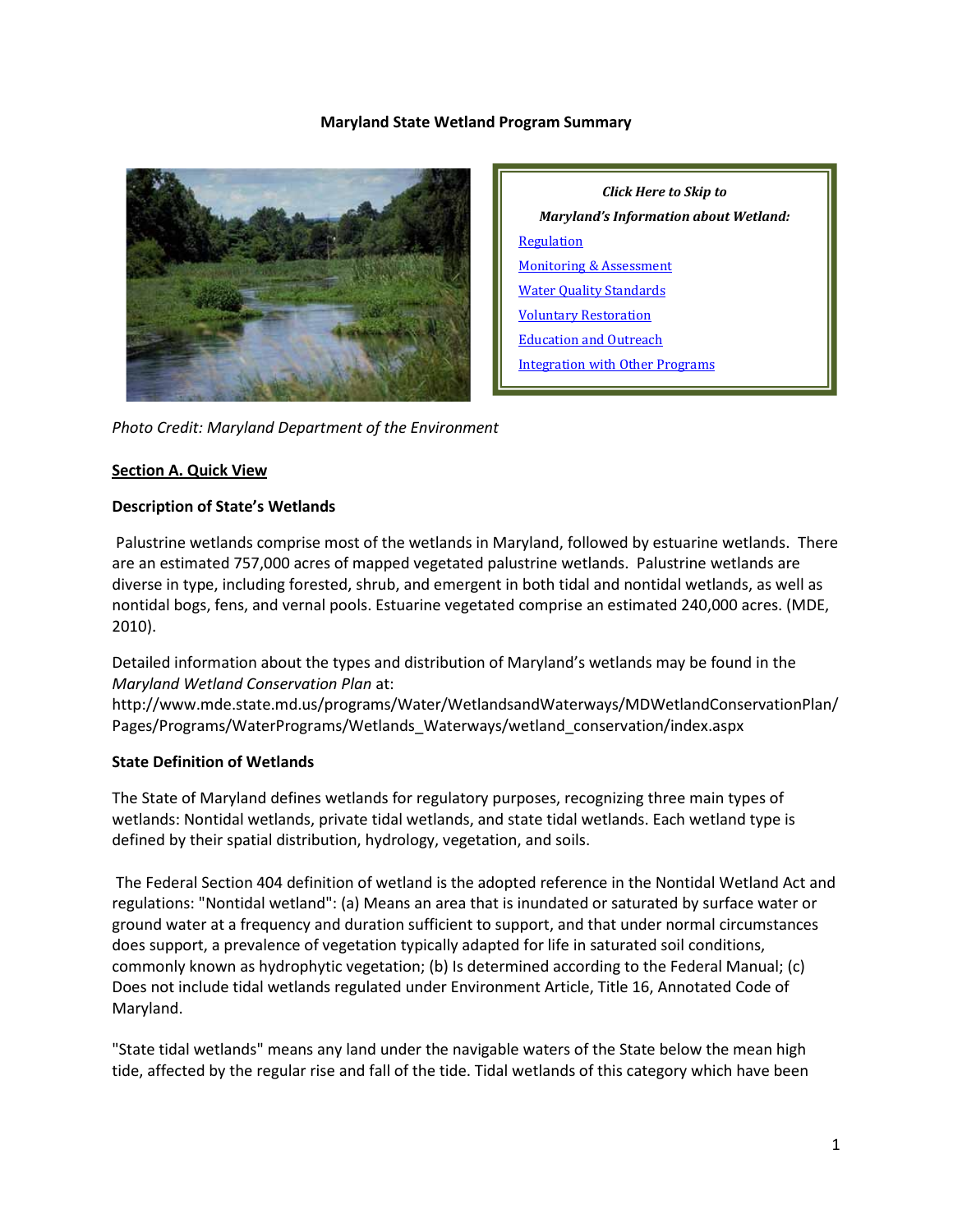### **Maryland State Wetland Program Summary**



*Click Here to Skip to Maryland's Information about Wetland:* **[Regulation](#page-4-0)** [Monitoring & Assessment](#page-9-0) [Water Quality Standards](#page-11-0) [Voluntary Restoration](#page-12-0) [Education and Outreach](#page-13-0) [Integration with Other Programs](#page-13-1)

*Photo Credit: Maryland Department of the Environment*

#### **Section A. Quick View**

#### **Description of State's Wetlands**

Palustrine wetlands comprise most of the wetlands in Maryland, followed by estuarine wetlands. There are an estimated 757,000 acres of mapped vegetated palustrine wetlands. Palustrine wetlands are diverse in type, including forested, shrub, and emergent in both tidal and nontidal wetlands, as well as nontidal bogs, fens, and vernal pools. Estuarine vegetated comprise an estimated 240,000 acres. (MDE, 2010).

Detailed information about the types and distribution of Maryland's wetlands may be found in the *Maryland Wetland Conservation Plan* at:

http://www.mde.state.md.us/programs/Water/WetlandsandWaterways/MDWetlandConservationPlan/ Pages/Programs/WaterPrograms/Wetlands\_Waterways/wetland\_conservation/index.aspx

### **State Definition of Wetlands**

The State of Maryland defines wetlands for regulatory purposes, recognizing three main types of wetlands: Nontidal wetlands, private tidal wetlands, and state tidal wetlands. Each wetland type is defined by their spatial distribution, hydrology, vegetation, and soils.

The Federal Section 404 definition of wetland is the adopted reference in the Nontidal Wetland Act and regulations: "Nontidal wetland": (a) Means an area that is inundated or saturated by surface water or ground water at a frequency and duration sufficient to support, and that under normal circumstances does support, a prevalence of vegetation typically adapted for life in saturated soil conditions, commonly known as hydrophytic vegetation; (b) Is determined according to the Federal Manual; (c) Does not include tidal wetlands regulated under Environment Article, Title 16, Annotated Code of Maryland.

"State tidal wetlands" means any land under the navigable waters of the State below the mean high tide, affected by the regular rise and fall of the tide. Tidal wetlands of this category which have been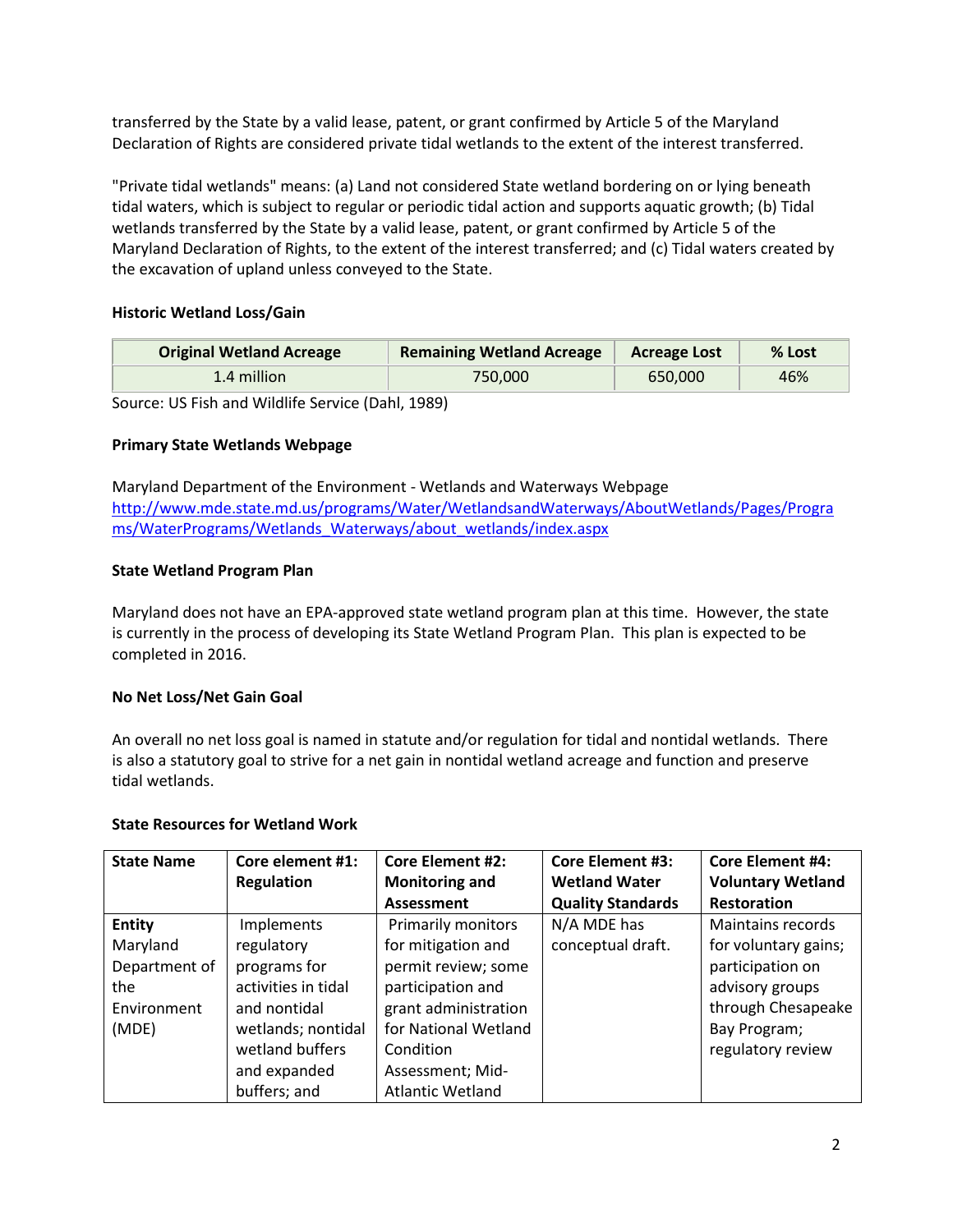transferred by the State by a valid lease, patent, or grant confirmed by Article 5 of the Maryland Declaration of Rights are considered private tidal wetlands to the extent of the interest transferred.

"Private tidal wetlands" means: (a) Land not considered State wetland bordering on or lying beneath tidal waters, which is subject to regular or periodic tidal action and supports aquatic growth; (b) Tidal wetlands transferred by the State by a valid lease, patent, or grant confirmed by Article 5 of the Maryland Declaration of Rights, to the extent of the interest transferred; and (c) Tidal waters created by the excavation of upland unless conveyed to the State.

# **Historic Wetland Loss/Gain**

| <b>Original Wetland Acreage</b> | <b>Remaining Wetland Acreage</b> | <b>Acreage Lost</b> | % Lost |
|---------------------------------|----------------------------------|---------------------|--------|
| 1.4 million                     | 750.000                          | 650.000             | 46%    |

Source: US Fish and Wildlife Service (Dahl, 1989)

### **Primary State Wetlands Webpage**

Maryland Department of the Environment - Wetlands and Waterways Webpage [http://www.mde.state.md.us/programs/Water/WetlandsandWaterways/AboutWetlands/Pages/Progra](http://www.mde.state.md.us/programs/Water/WetlandsandWaterways/AboutWetlands/Pages/Programs/WaterPrograms/Wetlands_Waterways/about_wetlands/index.aspx) [ms/WaterPrograms/Wetlands\\_Waterways/about\\_wetlands/index.aspx](http://www.mde.state.md.us/programs/Water/WetlandsandWaterways/AboutWetlands/Pages/Programs/WaterPrograms/Wetlands_Waterways/about_wetlands/index.aspx)

### **State Wetland Program Plan**

Maryland does not have an EPA-approved state wetland program plan at this time. However, the state is currently in the process of developing its State Wetland Program Plan. This plan is expected to be completed in 2016.

### **No Net Loss/Net Gain Goal**

An overall no net loss goal is named in statute and/or regulation for tidal and nontidal wetlands. There is also a statutory goal to strive for a net gain in nontidal wetland acreage and function and preserve tidal wetlands.

### **State Resources for Wetland Work**

| <b>State Name</b> | Core element #1:    | <b>Core Element #2:</b>   | <b>Core Element #3:</b>  | <b>Core Element #4:</b>  |
|-------------------|---------------------|---------------------------|--------------------------|--------------------------|
|                   | <b>Regulation</b>   | <b>Monitoring and</b>     | <b>Wetland Water</b>     | <b>Voluntary Wetland</b> |
|                   |                     | <b>Assessment</b>         | <b>Quality Standards</b> | <b>Restoration</b>       |
| <b>Entity</b>     | Implements          | <b>Primarily monitors</b> | N/A MDE has              | Maintains records        |
| Maryland          | regulatory          | for mitigation and        | conceptual draft.        | for voluntary gains;     |
| Department of     | programs for        | permit review; some       |                          | participation on         |
| the               | activities in tidal | participation and         |                          | advisory groups          |
| Environment       | and nontidal        | grant administration      |                          | through Chesapeake       |
| (MDE)             | wetlands; nontidal  | for National Wetland      |                          | Bay Program;             |
|                   | wetland buffers     | Condition                 |                          | regulatory review        |
|                   | and expanded        | Assessment; Mid-          |                          |                          |
|                   | buffers; and        | <b>Atlantic Wetland</b>   |                          |                          |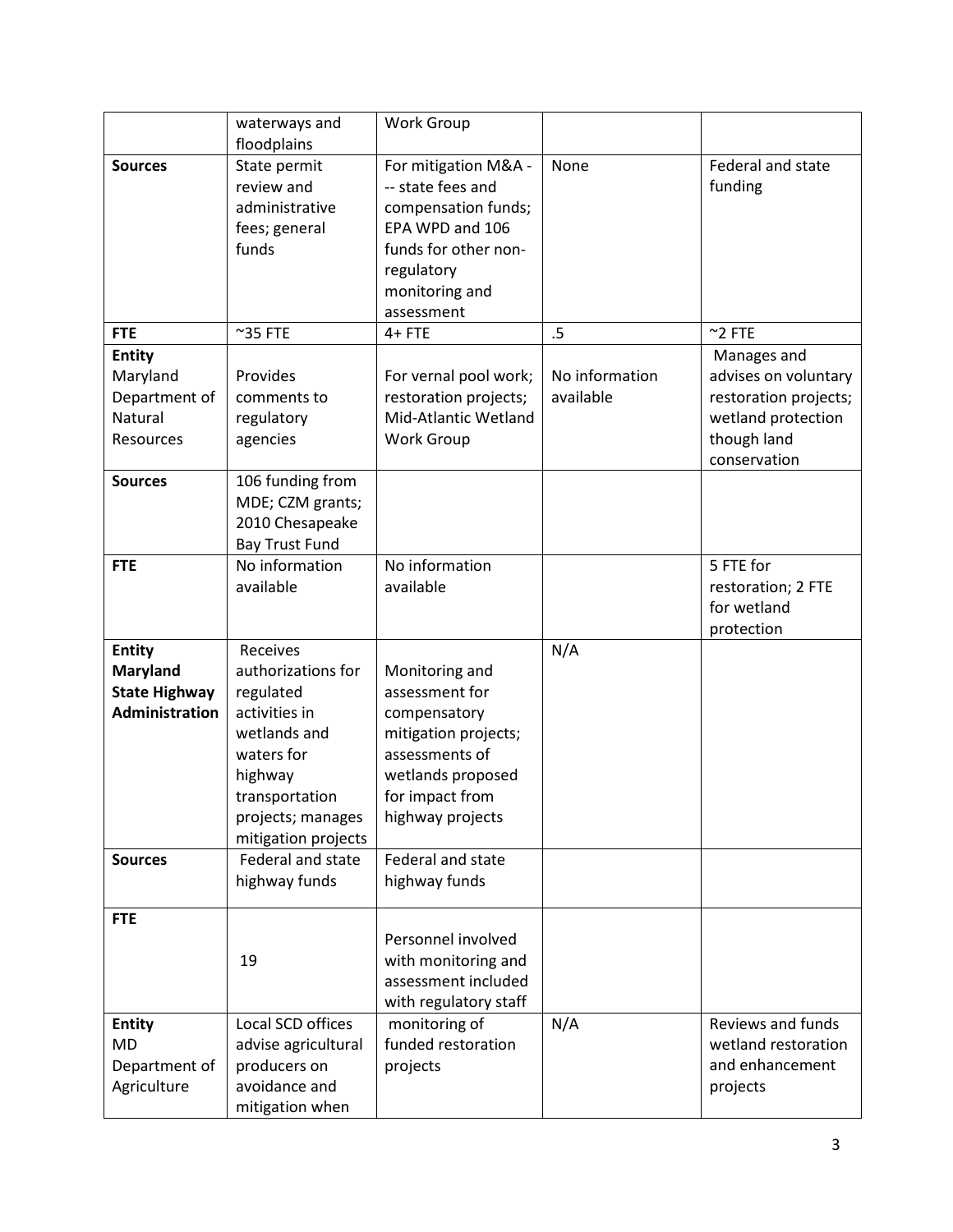|                                         | waterways and              | <b>Work Group</b>                    |                |                       |
|-----------------------------------------|----------------------------|--------------------------------------|----------------|-----------------------|
|                                         | floodplains                |                                      |                |                       |
| <b>Sources</b>                          | State permit               | For mitigation M&A -                 | None           | Federal and state     |
|                                         | review and                 | -- state fees and                    |                | funding               |
|                                         | administrative             | compensation funds;                  |                |                       |
|                                         | fees; general              | EPA WPD and 106                      |                |                       |
|                                         | funds                      | funds for other non-                 |                |                       |
|                                         |                            | regulatory                           |                |                       |
|                                         |                            | monitoring and                       |                |                       |
|                                         |                            | assessment                           |                |                       |
| <b>FTE</b>                              | $^{\sim}$ 35 FTE           | $4+$ FTE                             | .5             | $~^{\sim}$ 2 FTE      |
| <b>Entity</b>                           |                            |                                      |                | Manages and           |
| Maryland                                | Provides                   | For vernal pool work;                | No information | advises on voluntary  |
| Department of                           | comments to                | restoration projects;                | available      | restoration projects; |
| Natural                                 | regulatory                 | Mid-Atlantic Wetland                 |                | wetland protection    |
| Resources                               | agencies                   | Work Group                           |                | though land           |
|                                         |                            |                                      |                | conservation          |
| <b>Sources</b>                          | 106 funding from           |                                      |                |                       |
|                                         | MDE; CZM grants;           |                                      |                |                       |
|                                         | 2010 Chesapeake            |                                      |                |                       |
|                                         | <b>Bay Trust Fund</b>      |                                      |                |                       |
| <b>FTE</b>                              | No information             | No information                       |                | 5 FTE for             |
|                                         | available                  | available                            |                | restoration; 2 FTE    |
|                                         |                            |                                      |                | for wetland           |
|                                         |                            |                                      |                | protection            |
| <b>Entity</b>                           | Receives                   |                                      | N/A            |                       |
| <b>Maryland</b><br><b>State Highway</b> | authorizations for         | Monitoring and<br>assessment for     |                |                       |
| <b>Administration</b>                   | regulated<br>activities in |                                      |                |                       |
|                                         | wetlands and               | compensatory<br>mitigation projects; |                |                       |
|                                         | waters for                 | assessments of                       |                |                       |
|                                         | highway                    | wetlands proposed                    |                |                       |
|                                         | transportation             | for impact from                      |                |                       |
|                                         | projects; manages          | highway projects                     |                |                       |
|                                         | mitigation projects        |                                      |                |                       |
| <b>Sources</b>                          | Federal and state          | Federal and state                    |                |                       |
|                                         | highway funds              | highway funds                        |                |                       |
|                                         |                            |                                      |                |                       |
| <b>FTE</b>                              |                            |                                      |                |                       |
|                                         |                            | Personnel involved                   |                |                       |
|                                         | 19                         | with monitoring and                  |                |                       |
|                                         |                            | assessment included                  |                |                       |
|                                         |                            | with regulatory staff                |                |                       |
| <b>Entity</b>                           | Local SCD offices          | monitoring of                        | N/A            | Reviews and funds     |
| <b>MD</b>                               | advise agricultural        | funded restoration                   |                | wetland restoration   |
| Department of                           | producers on               | projects                             |                | and enhancement       |
| Agriculture                             | avoidance and              |                                      |                | projects              |
|                                         | mitigation when            |                                      |                |                       |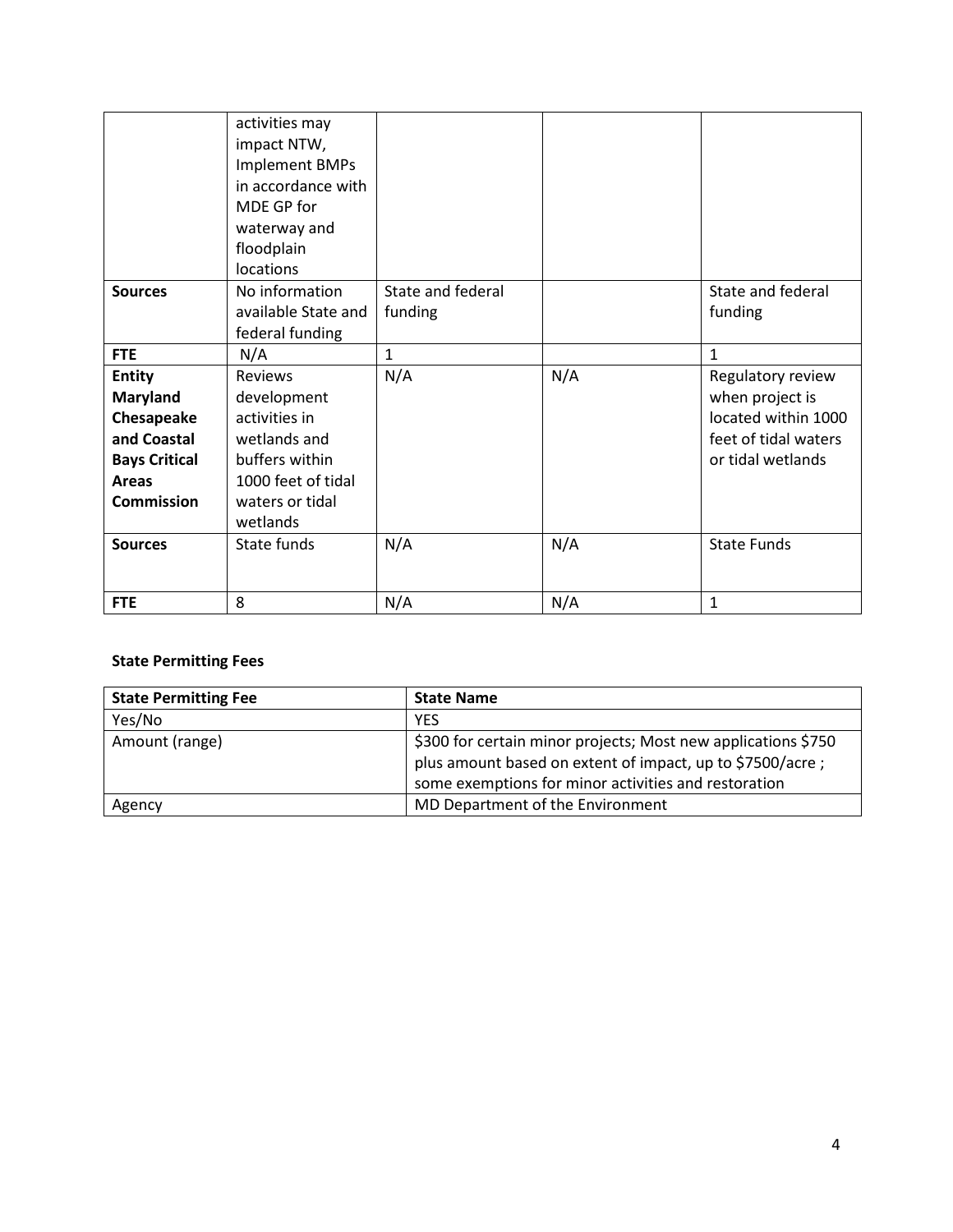|                      | activities may      |                   |     |                      |
|----------------------|---------------------|-------------------|-----|----------------------|
|                      | impact NTW,         |                   |     |                      |
|                      | Implement BMPs      |                   |     |                      |
|                      | in accordance with  |                   |     |                      |
|                      | MDE GP for          |                   |     |                      |
|                      | waterway and        |                   |     |                      |
|                      | floodplain          |                   |     |                      |
|                      | locations           |                   |     |                      |
| <b>Sources</b>       | No information      | State and federal |     | State and federal    |
|                      | available State and | funding           |     | funding              |
|                      | federal funding     |                   |     |                      |
| <b>FTE</b>           | N/A                 | $\mathbf{1}$      |     | $\mathbf{1}$         |
| <b>Entity</b>        | Reviews             | N/A               | N/A | Regulatory review    |
| <b>Maryland</b>      | development         |                   |     | when project is      |
| Chesapeake           | activities in       |                   |     | located within 1000  |
| and Coastal          | wetlands and        |                   |     | feet of tidal waters |
| <b>Bays Critical</b> | buffers within      |                   |     | or tidal wetlands    |
| <b>Areas</b>         | 1000 feet of tidal  |                   |     |                      |
| <b>Commission</b>    | waters or tidal     |                   |     |                      |
|                      | wetlands            |                   |     |                      |
| <b>Sources</b>       | State funds         | N/A               | N/A | <b>State Funds</b>   |
|                      |                     |                   |     |                      |
|                      |                     |                   |     |                      |
| <b>FTE</b>           | 8                   | N/A               | N/A | $\mathbf{1}$         |

# **State Permitting Fees**

| <b>State Permitting Fee</b> | <b>State Name</b>                                                                                                                                                                  |
|-----------------------------|------------------------------------------------------------------------------------------------------------------------------------------------------------------------------------|
| Yes/No                      | <b>YES</b>                                                                                                                                                                         |
| Amount (range)              | \$300 for certain minor projects; Most new applications \$750<br>plus amount based on extent of impact, up to \$7500/acre;<br>some exemptions for minor activities and restoration |
| Agency                      | MD Department of the Environment                                                                                                                                                   |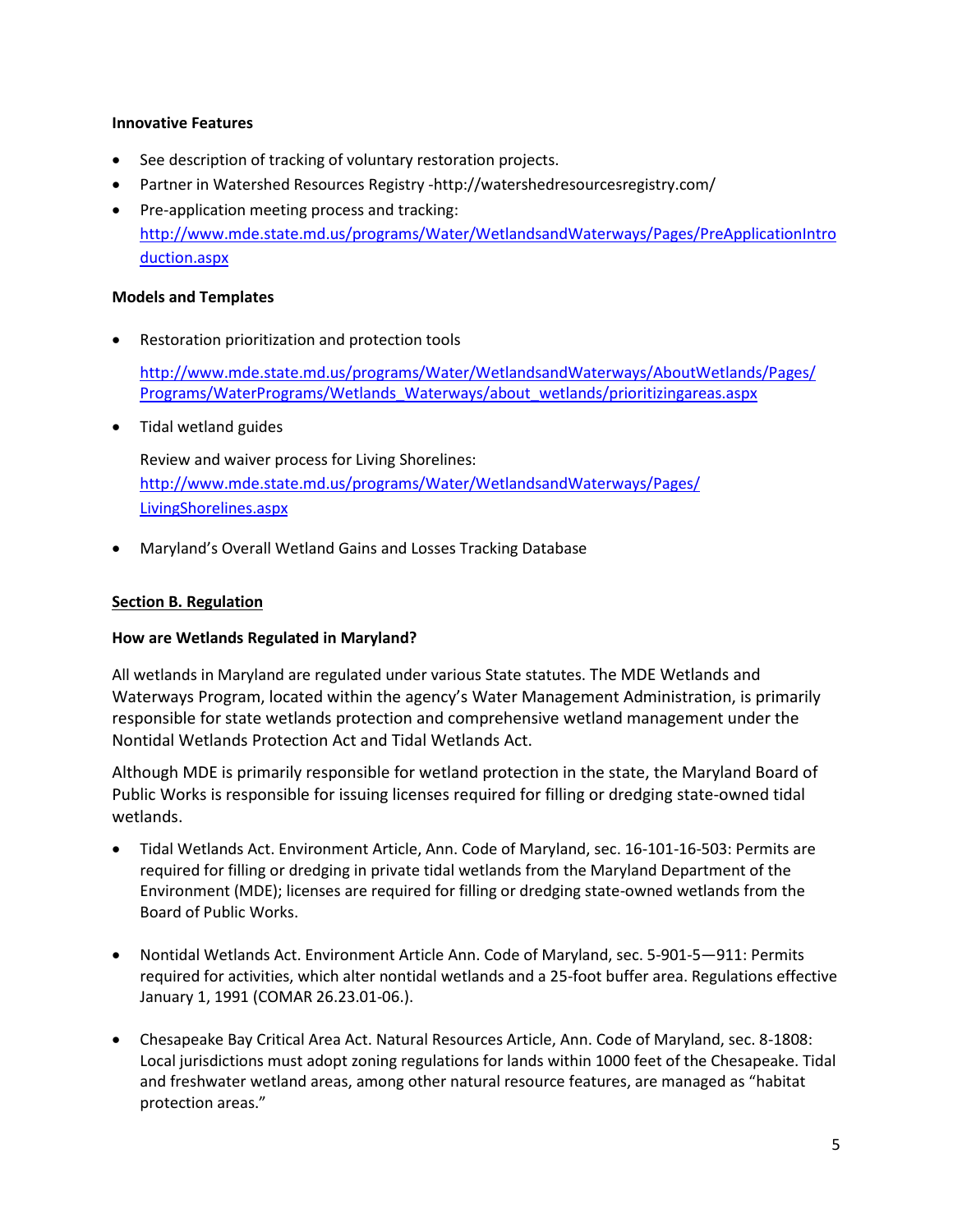### **Innovative Features**

- See description of tracking of voluntary restoration projects.
- Partner in Watershed Resources Registry -http://watershedresourcesregistry.com/
- Pre-application meeting process and tracking: [http://www.mde.state.md.us/programs/Water/WetlandsandWaterways/Pages/PreApplicationIntro](http://www.mde.state.md.us/programs/Water/WetlandsandWaterways/Pages/PreApplicationIntroduction.aspx) [duction.aspx](http://www.mde.state.md.us/programs/Water/WetlandsandWaterways/Pages/PreApplicationIntroduction.aspx)

### **Models and Templates**

Restoration prioritization and protection tools

[http://www.mde.state.md.us/programs/Water/WetlandsandWaterways/AboutWetlands/Pages/](http://www.mde.state.md.us/programs/Water/WetlandsandWaterways/AboutWetlands/Pages/Programs/WaterPrograms/Wetlands_Waterways/about_wetlands/prioritizingareas.aspx) [Programs/WaterPrograms/Wetlands\\_Waterways/about\\_wetlands/prioritizingareas.aspx](http://www.mde.state.md.us/programs/Water/WetlandsandWaterways/AboutWetlands/Pages/Programs/WaterPrograms/Wetlands_Waterways/about_wetlands/prioritizingareas.aspx)

• Tidal wetland guides

Review and waiver process for Living Shorelines: [http://www.mde.state.md.us/programs/Water/WetlandsandWaterways/Pages/](http://www.mde.state.md.us/programs/Water/WetlandsandWaterways/Pages/%20LivingShorelines.aspx)  [LivingShorelines.aspx](http://www.mde.state.md.us/programs/Water/WetlandsandWaterways/Pages/%20LivingShorelines.aspx)

• Maryland's Overall Wetland Gains and Losses Tracking Database

### <span id="page-4-0"></span>**Section B. Regulation**

### **How are Wetlands Regulated in Maryland?**

All wetlands in Maryland are regulated under various State statutes. The MDE Wetlands and Waterways Program, located within the agency's Water Management Administration, is primarily responsible for state wetlands protection and comprehensive wetland management under the Nontidal Wetlands Protection Act and Tidal Wetlands Act.

Although MDE is primarily responsible for wetland protection in the state, the Maryland Board of Public Works is responsible for issuing licenses required for filling or dredging state-owned tidal wetlands.

- Tidal Wetlands Act. Environment Article, Ann. Code of Maryland, sec. 16-101-16-503: Permits are required for filling or dredging in private tidal wetlands from the Maryland Department of the Environment (MDE); licenses are required for filling or dredging state-owned wetlands from the Board of Public Works.
- Nontidal Wetlands Act. Environment Article Ann. Code of Maryland, sec. 5-901-5—911: Permits required for activities, which alter nontidal wetlands and a 25-foot buffer area. Regulations effective January 1, 1991 (COMAR 26.23.01-06.).
- Chesapeake Bay Critical Area Act. Natural Resources Article, Ann. Code of Maryland, sec. 8-1808: Local jurisdictions must adopt zoning regulations for lands within 1000 feet of the Chesapeake. Tidal and freshwater wetland areas, among other natural resource features, are managed as "habitat protection areas."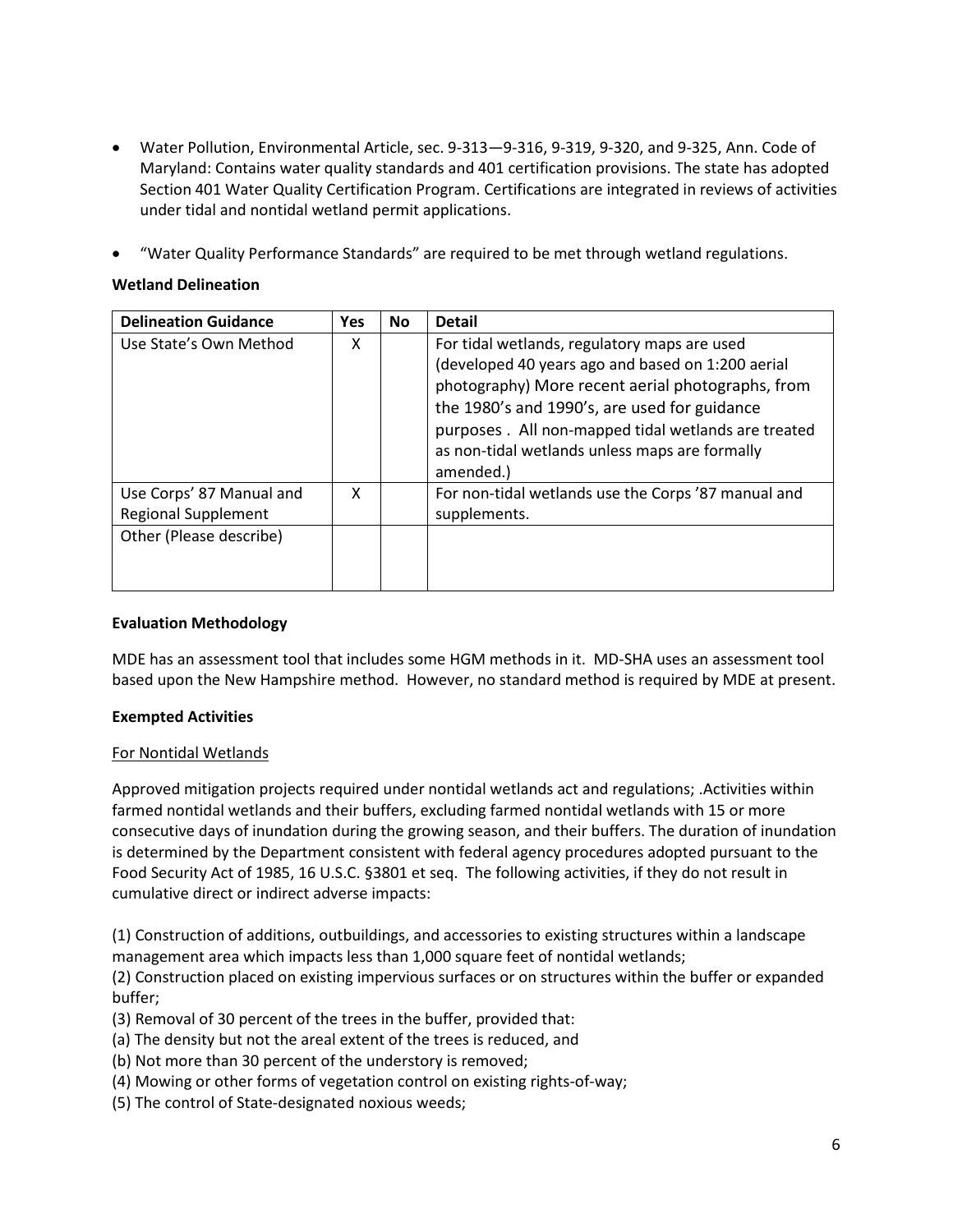- Water Pollution, Environmental Article, sec. 9-313—9-316, 9-319, 9-320, and 9-325, Ann. Code of Maryland: Contains water quality standards and 401 certification provisions. The state has adopted Section 401 Water Quality Certification Program. Certifications are integrated in reviews of activities under tidal and nontidal wetland permit applications.
- "Water Quality Performance Standards" are required to be met through wetland regulations.

### **Wetland Delineation**

| <b>Delineation Guidance</b>                            | <b>Yes</b> | <b>No</b> | <b>Detail</b>                                                                                                                                                                                                                                                                                                                 |
|--------------------------------------------------------|------------|-----------|-------------------------------------------------------------------------------------------------------------------------------------------------------------------------------------------------------------------------------------------------------------------------------------------------------------------------------|
| Use State's Own Method                                 | x          |           | For tidal wetlands, regulatory maps are used<br>(developed 40 years ago and based on 1:200 aerial<br>photography) More recent aerial photographs, from<br>the 1980's and 1990's, are used for guidance<br>purposes . All non-mapped tidal wetlands are treated<br>as non-tidal wetlands unless maps are formally<br>amended.) |
| Use Corps' 87 Manual and<br><b>Regional Supplement</b> | x          |           | For non-tidal wetlands use the Corps '87 manual and<br>supplements.                                                                                                                                                                                                                                                           |
| Other (Please describe)                                |            |           |                                                                                                                                                                                                                                                                                                                               |

#### **Evaluation Methodology**

MDE has an assessment tool that includes some HGM methods in it. MD-SHA uses an assessment tool based upon the New Hampshire method. However, no standard method is required by MDE at present.

### **Exempted Activities**

### For Nontidal Wetlands

Approved mitigation projects required under nontidal wetlands act and regulations; .Activities within farmed nontidal wetlands and their buffers, excluding farmed nontidal wetlands with 15 or more consecutive days of inundation during the growing season, and their buffers. The duration of inundation is determined by the Department consistent with federal agency procedures adopted pursuant to the Food Security Act of 1985, 16 U.S.C. §3801 et seq. The following activities, if they do not result in cumulative direct or indirect adverse impacts:

(1) Construction of additions, outbuildings, and accessories to existing structures within a landscape management area which impacts less than 1,000 square feet of nontidal wetlands;

(2) Construction placed on existing impervious surfaces or on structures within the buffer or expanded buffer;

- (3) Removal of 30 percent of the trees in the buffer, provided that:
- (a) The density but not the areal extent of the trees is reduced, and
- (b) Not more than 30 percent of the understory is removed;
- (4) Mowing or other forms of vegetation control on existing rights-of-way;
- (5) The control of State-designated noxious weeds;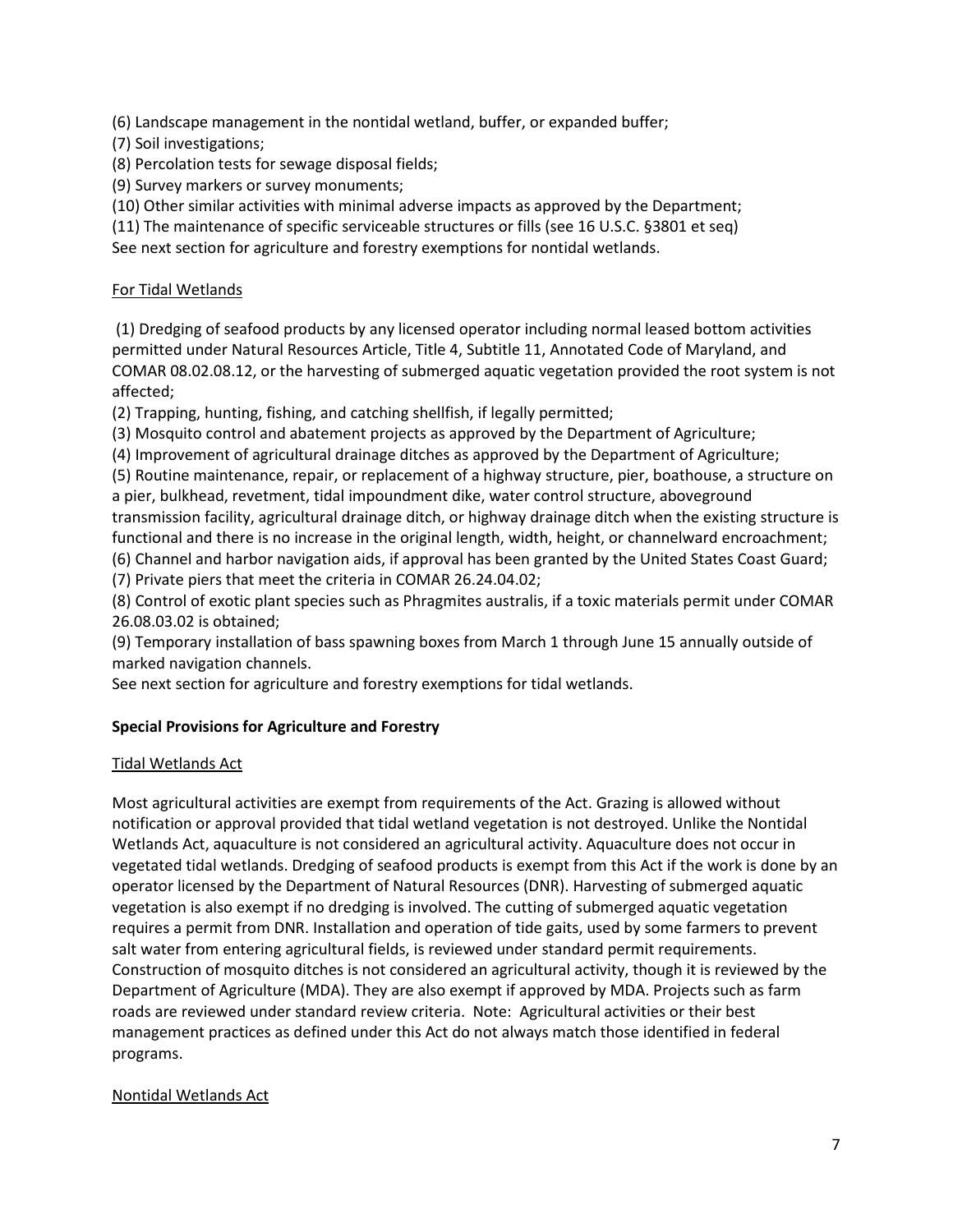(6) Landscape management in the nontidal wetland, buffer, or expanded buffer;

(7) Soil investigations;

(8) Percolation tests for sewage disposal fields;

(9) Survey markers or survey monuments;

(10) Other similar activities with minimal adverse impacts as approved by the Department;

(11) The maintenance of specific serviceable structures or fills (see 16 U.S.C. §3801 et seq)

See next section for agriculture and forestry exemptions for nontidal wetlands.

# For Tidal Wetlands

(1) Dredging of seafood products by any licensed operator including normal leased bottom activities permitted under Natural Resources Article, Title 4, Subtitle 11, Annotated Code of Maryland, and COMAR 08.02.08.12, or the harvesting of submerged aquatic vegetation provided the root system is not affected;

(2) Trapping, hunting, fishing, and catching shellfish, if legally permitted;

(3) Mosquito control and abatement projects as approved by the Department of Agriculture;

(4) Improvement of agricultural drainage ditches as approved by the Department of Agriculture;

(5) Routine maintenance, repair, or replacement of a highway structure, pier, boathouse, a structure on a pier, bulkhead, revetment, tidal impoundment dike, water control structure, aboveground transmission facility, agricultural drainage ditch, or highway drainage ditch when the existing structure is

functional and there is no increase in the original length, width, height, or channelward encroachment;

(6) Channel and harbor navigation aids, if approval has been granted by the United States Coast Guard; (7) Private piers that meet the criteria in COMAR 26.24.04.02;

(8) Control of exotic plant species such as Phragmites australis, if a toxic materials permit under COMAR 26.08.03.02 is obtained;

(9) Temporary installation of bass spawning boxes from March 1 through June 15 annually outside of marked navigation channels.

See next section for agriculture and forestry exemptions for tidal wetlands.

# **Special Provisions for Agriculture and Forestry**

### Tidal Wetlands Act

Most agricultural activities are exempt from requirements of the Act. Grazing is allowed without notification or approval provided that tidal wetland vegetation is not destroyed. Unlike the Nontidal Wetlands Act, aquaculture is not considered an agricultural activity. Aquaculture does not occur in vegetated tidal wetlands. Dredging of seafood products is exempt from this Act if the work is done by an operator licensed by the Department of Natural Resources (DNR). Harvesting of submerged aquatic vegetation is also exempt if no dredging is involved. The cutting of submerged aquatic vegetation requires a permit from DNR. Installation and operation of tide gaits, used by some farmers to prevent salt water from entering agricultural fields, is reviewed under standard permit requirements. Construction of mosquito ditches is not considered an agricultural activity, though it is reviewed by the Department of Agriculture (MDA). They are also exempt if approved by MDA. Projects such as farm roads are reviewed under standard review criteria. Note: Agricultural activities or their best management practices as defined under this Act do not always match those identified in federal programs.

### Nontidal Wetlands Act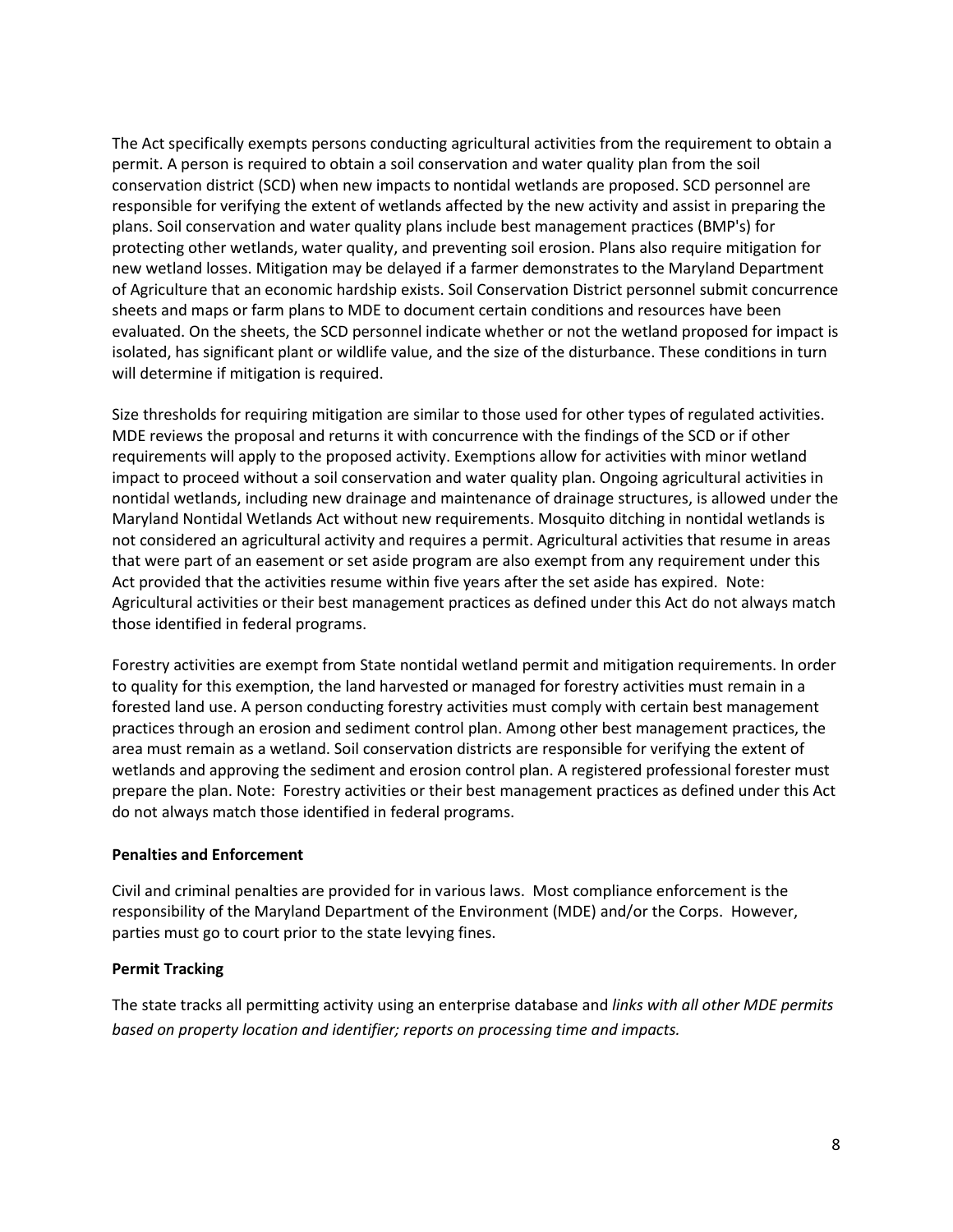The Act specifically exempts persons conducting agricultural activities from the requirement to obtain a permit. A person is required to obtain a soil conservation and water quality plan from the soil conservation district (SCD) when new impacts to nontidal wetlands are proposed. SCD personnel are responsible for verifying the extent of wetlands affected by the new activity and assist in preparing the plans. Soil conservation and water quality plans include best management practices (BMP's) for protecting other wetlands, water quality, and preventing soil erosion. Plans also require mitigation for new wetland losses. Mitigation may be delayed if a farmer demonstrates to the Maryland Department of Agriculture that an economic hardship exists. Soil Conservation District personnel submit concurrence sheets and maps or farm plans to MDE to document certain conditions and resources have been evaluated. On the sheets, the SCD personnel indicate whether or not the wetland proposed for impact is isolated, has significant plant or wildlife value, and the size of the disturbance. These conditions in turn will determine if mitigation is required.

Size thresholds for requiring mitigation are similar to those used for other types of regulated activities. MDE reviews the proposal and returns it with concurrence with the findings of the SCD or if other requirements will apply to the proposed activity. Exemptions allow for activities with minor wetland impact to proceed without a soil conservation and water quality plan. Ongoing agricultural activities in nontidal wetlands, including new drainage and maintenance of drainage structures, is allowed under the Maryland Nontidal Wetlands Act without new requirements. Mosquito ditching in nontidal wetlands is not considered an agricultural activity and requires a permit. Agricultural activities that resume in areas that were part of an easement or set aside program are also exempt from any requirement under this Act provided that the activities resume within five years after the set aside has expired. Note: Agricultural activities or their best management practices as defined under this Act do not always match those identified in federal programs.

Forestry activities are exempt from State nontidal wetland permit and mitigation requirements. In order to quality for this exemption, the land harvested or managed for forestry activities must remain in a forested land use. A person conducting forestry activities must comply with certain best management practices through an erosion and sediment control plan. Among other best management practices, the area must remain as a wetland. Soil conservation districts are responsible for verifying the extent of wetlands and approving the sediment and erosion control plan. A registered professional forester must prepare the plan. Note: Forestry activities or their best management practices as defined under this Act do not always match those identified in federal programs.

### **Penalties and Enforcement**

Civil and criminal penalties are provided for in various laws. Most compliance enforcement is the responsibility of the Maryland Department of the Environment (MDE) and/or the Corps. However, parties must go to court prior to the state levying fines.

### **Permit Tracking**

The state tracks all permitting activity using an enterprise database and *links with all other MDE permits based on property location and identifier; reports on processing time and impacts.*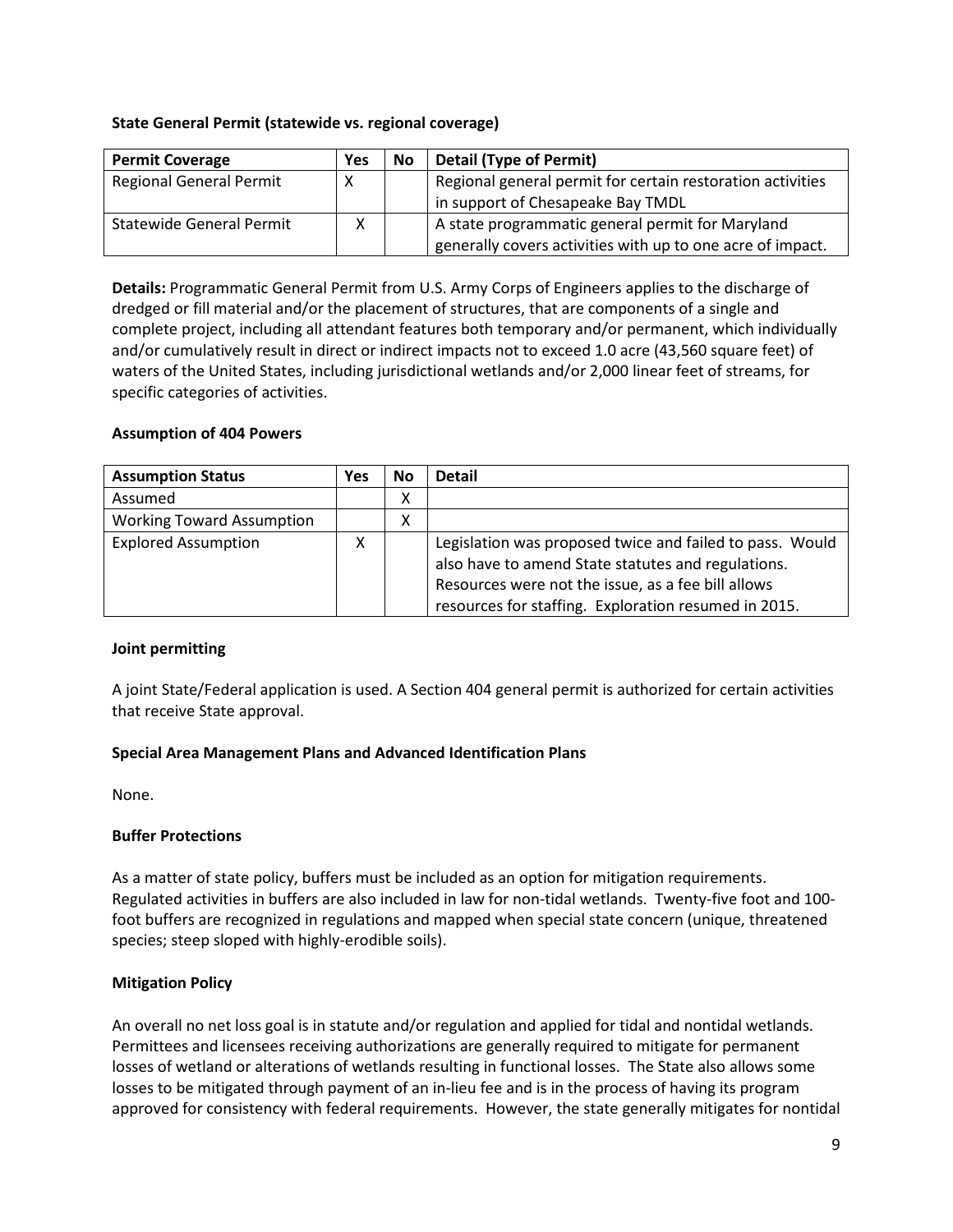### **State General Permit (statewide vs. regional coverage)**

| <b>Permit Coverage</b>         | Yes | <b>No</b> | <b>Detail (Type of Permit)</b>                             |
|--------------------------------|-----|-----------|------------------------------------------------------------|
| <b>Regional General Permit</b> | х   |           | Regional general permit for certain restoration activities |
|                                |     |           | in support of Chesapeake Bay TMDL                          |
| Statewide General Permit       | x   |           | A state programmatic general permit for Maryland           |
|                                |     |           | generally covers activities with up to one acre of impact. |

**Details:** Programmatic General Permit from U.S. Army Corps of Engineers applies to the discharge of dredged or fill material and/or the placement of structures, that are components of a single and complete project, including all attendant features both temporary and/or permanent, which individually and/or cumulatively result in direct or indirect impacts not to exceed 1.0 acre (43,560 square feet) of waters of the United States, including jurisdictional wetlands and/or 2,000 linear feet of streams, for specific categories of activities.

# **Assumption of 404 Powers**

| <b>Assumption Status</b>         | Yes | No | <b>Detail</b>                                                                                                                                                                                                                |
|----------------------------------|-----|----|------------------------------------------------------------------------------------------------------------------------------------------------------------------------------------------------------------------------------|
| Assumed                          |     | Χ  |                                                                                                                                                                                                                              |
| <b>Working Toward Assumption</b> |     | Χ  |                                                                                                                                                                                                                              |
| <b>Explored Assumption</b>       | χ   |    | Legislation was proposed twice and failed to pass. Would<br>also have to amend State statutes and regulations.<br>Resources were not the issue, as a fee bill allows<br>resources for staffing. Exploration resumed in 2015. |

### **Joint permitting**

A joint State/Federal application is used. A Section 404 general permit is authorized for certain activities that receive State approval.

### **Special Area Management Plans and Advanced Identification Plans**

None.

### **Buffer Protections**

As a matter of state policy, buffers must be included as an option for mitigation requirements. Regulated activities in buffers are also included in law for non-tidal wetlands. Twenty-five foot and 100 foot buffers are recognized in regulations and mapped when special state concern (unique, threatened species; steep sloped with highly-erodible soils).

### **Mitigation Policy**

An overall no net loss goal is in statute and/or regulation and applied for tidal and nontidal wetlands. Permittees and licensees receiving authorizations are generally required to mitigate for permanent losses of wetland or alterations of wetlands resulting in functional losses. The State also allows some losses to be mitigated through payment of an in-lieu fee and is in the process of having its program approved for consistency with federal requirements. However, the state generally mitigates for nontidal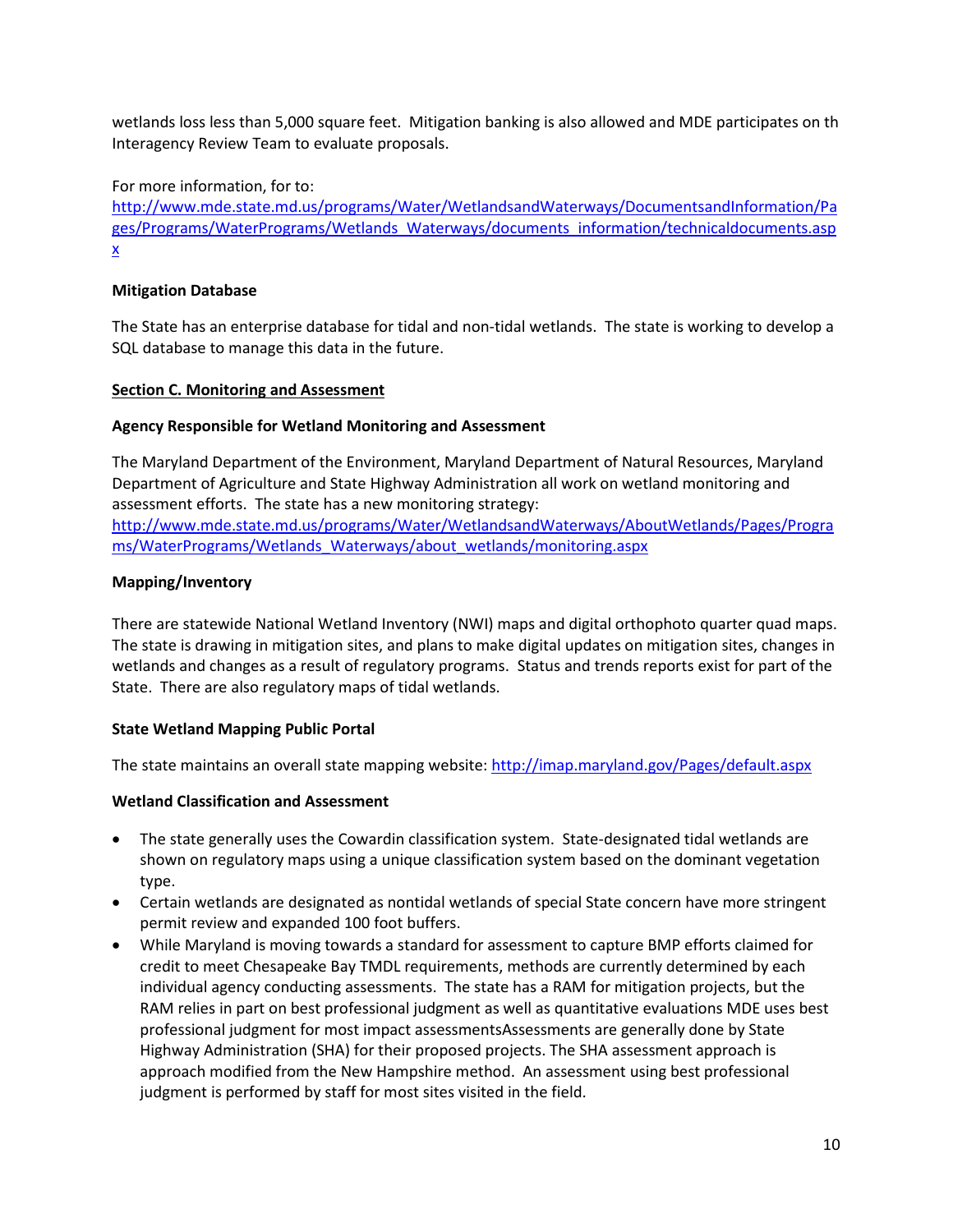wetlands loss less than 5,000 square feet. Mitigation banking is also allowed and MDE participates on th Interagency Review Team to evaluate proposals.

### For more information, for to:

[http://www.mde.state.md.us/programs/Water/WetlandsandWaterways/DocumentsandInformation/Pa](http://www.mde.state.md.us/programs/Water/WetlandsandWaterways/DocumentsandInformation/Pages/Programs/WaterPrograms/Wetlands_Waterways/documents_information/technicaldocuments.aspx) [ges/Programs/WaterPrograms/Wetlands\\_Waterways/documents\\_information/technicaldocuments.asp](http://www.mde.state.md.us/programs/Water/WetlandsandWaterways/DocumentsandInformation/Pages/Programs/WaterPrograms/Wetlands_Waterways/documents_information/technicaldocuments.aspx) [x](http://www.mde.state.md.us/programs/Water/WetlandsandWaterways/DocumentsandInformation/Pages/Programs/WaterPrograms/Wetlands_Waterways/documents_information/technicaldocuments.aspx)

### **Mitigation Database**

The State has an enterprise database for tidal and non-tidal wetlands. The state is working to develop a SQL database to manage this data in the future.

#### <span id="page-9-0"></span>**Section C. Monitoring and Assessment**

#### **Agency Responsible for Wetland Monitoring and Assessment**

The Maryland Department of the Environment, Maryland Department of Natural Resources, Maryland Department of Agriculture and State Highway Administration all work on wetland monitoring and assessment efforts. The state has a new monitoring strategy:

[http://www.mde.state.md.us/programs/Water/WetlandsandWaterways/AboutWetlands/Pages/Progra](http://www.mde.state.md.us/programs/Water/WetlandsandWaterways/AboutWetlands/Pages/Programs/WaterPrograms/Wetlands_Waterways/about_wetlands/monitoring.aspx) [ms/WaterPrograms/Wetlands\\_Waterways/about\\_wetlands/monitoring.aspx](http://www.mde.state.md.us/programs/Water/WetlandsandWaterways/AboutWetlands/Pages/Programs/WaterPrograms/Wetlands_Waterways/about_wetlands/monitoring.aspx)

#### **Mapping/Inventory**

There are statewide National Wetland Inventory (NWI) maps and digital orthophoto quarter quad maps. The state is drawing in mitigation sites, and plans to make digital updates on mitigation sites, changes in wetlands and changes as a result of regulatory programs. Status and trends reports exist for part of the State. There are also regulatory maps of tidal wetlands.

### **State Wetland Mapping Public Portal**

The state maintains an overall state mapping website:<http://imap.maryland.gov/Pages/default.aspx>

### **Wetland Classification and Assessment**

- The state generally uses the Cowardin classification system. State-designated tidal wetlands are shown on regulatory maps using a unique classification system based on the dominant vegetation type.
- Certain wetlands are designated as nontidal wetlands of special State concern have more stringent permit review and expanded 100 foot buffers.
- While Maryland is moving towards a standard for assessment to capture BMP efforts claimed for credit to meet Chesapeake Bay TMDL requirements, methods are currently determined by each individual agency conducting assessments. The state has a RAM for mitigation projects, but the RAM relies in part on best professional judgment as well as quantitative evaluations MDE uses best professional judgment for most impact assessmentsAssessments are generally done by State Highway Administration (SHA) for their proposed projects. The SHA assessment approach is approach modified from the New Hampshire method. An assessment using best professional judgment is performed by staff for most sites visited in the field.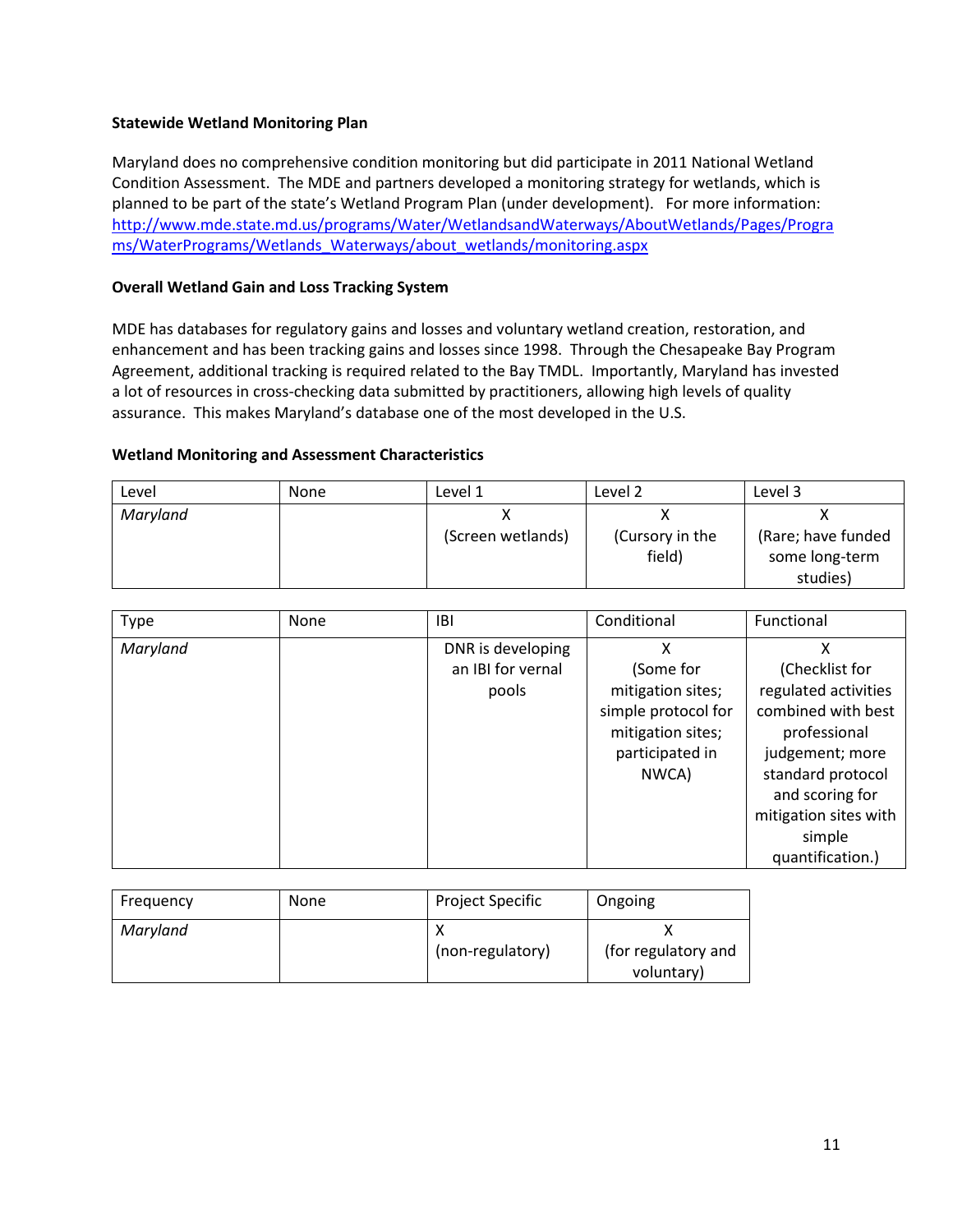# **Statewide Wetland Monitoring Plan**

Maryland does no comprehensive condition monitoring but did participate in 2011 National Wetland Condition Assessment. The MDE and partners developed a monitoring strategy for wetlands, which is planned to be part of the state's Wetland Program Plan (under development). For more information: [http://www.mde.state.md.us/programs/Water/WetlandsandWaterways/AboutWetlands/Pages/Progra](http://www.mde.state.md.us/programs/Water/WetlandsandWaterways/AboutWetlands/Pages/Programs/WaterPrograms/Wetlands_Waterways/about_wetlands/monitoring.aspx) [ms/WaterPrograms/Wetlands\\_Waterways/about\\_wetlands/monitoring.aspx](http://www.mde.state.md.us/programs/Water/WetlandsandWaterways/AboutWetlands/Pages/Programs/WaterPrograms/Wetlands_Waterways/about_wetlands/monitoring.aspx)

# **Overall Wetland Gain and Loss Tracking System**

MDE has databases for regulatory gains and losses and voluntary wetland creation, restoration, and enhancement and has been tracking gains and losses since 1998. Through the Chesapeake Bay Program Agreement, additional tracking is required related to the Bay TMDL. Importantly, Maryland has invested a lot of resources in cross-checking data submitted by practitioners, allowing high levels of quality assurance. This makes Maryland's database one of the most developed in the U.S.

# **Wetland Monitoring and Assessment Characteristics**

| Level    | <b>None</b> | Level 1           | Level 2                   | Level 3                                          |
|----------|-------------|-------------------|---------------------------|--------------------------------------------------|
| Maryland |             | (Screen wetlands) | (Cursory in the<br>field) | (Rare; have funded<br>some long-term<br>studies) |

| <b>Type</b> | None | IBI               | Conditional         | Functional            |
|-------------|------|-------------------|---------------------|-----------------------|
| Maryland    |      | DNR is developing | x                   |                       |
|             |      | an IBI for vernal | (Some for           | (Checklist for        |
|             |      | pools             | mitigation sites;   | regulated activities  |
|             |      |                   | simple protocol for | combined with best    |
|             |      |                   | mitigation sites;   | professional          |
|             |      |                   | participated in     | judgement; more       |
|             |      |                   | NWCA)               | standard protocol     |
|             |      |                   |                     | and scoring for       |
|             |      |                   |                     | mitigation sites with |
|             |      |                   |                     | simple                |
|             |      |                   |                     | quantification.)      |

| Frequency | None | <b>Project Specific</b> | Ongoing                           |
|-----------|------|-------------------------|-----------------------------------|
| Maryland  |      | (non-regulatory)        | (for regulatory and<br>voluntary) |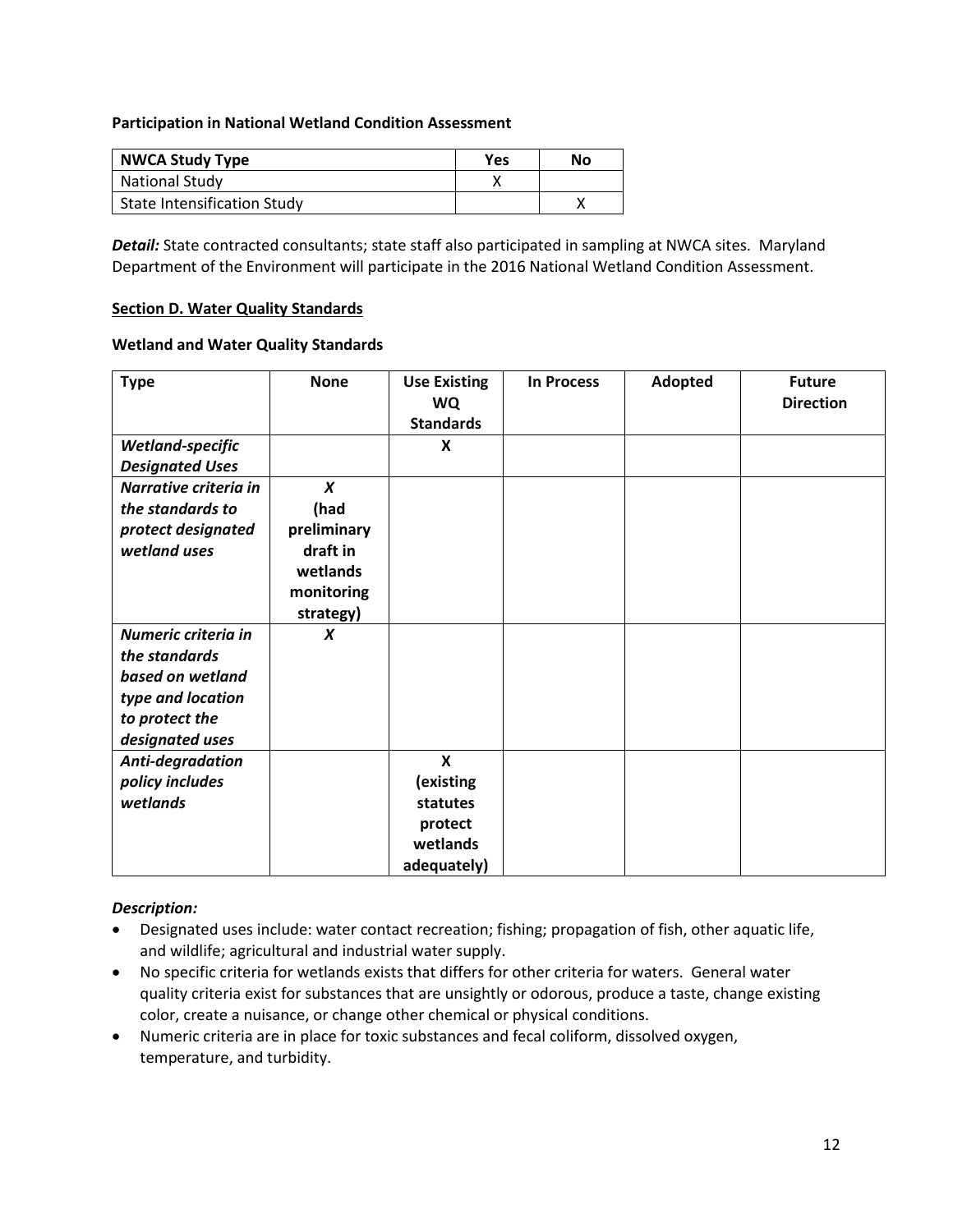### **Participation in National Wetland Condition Assessment**

| <b>NWCA Study Type</b>             | <b>Yes</b> | No |
|------------------------------------|------------|----|
| <b>National Study</b>              |            |    |
| <b>State Intensification Study</b> |            |    |

*Detail:* State contracted consultants; state staff also participated in sampling at NWCA sites. Maryland Department of the Environment will participate in the 2016 National Wetland Condition Assessment.

#### <span id="page-11-0"></span>**Section D. Water Quality Standards**

#### **Wetland and Water Quality Standards**

| <b>Type</b>            | <b>None</b>      | <b>Use Existing</b><br><b>WQ</b><br><b>Standards</b> | <b>In Process</b> | Adopted | <b>Future</b><br><b>Direction</b> |
|------------------------|------------------|------------------------------------------------------|-------------------|---------|-----------------------------------|
| Wetland-specific       |                  | X                                                    |                   |         |                                   |
| <b>Designated Uses</b> |                  |                                                      |                   |         |                                   |
| Narrative criteria in  | $\boldsymbol{x}$ |                                                      |                   |         |                                   |
| the standards to       | (had             |                                                      |                   |         |                                   |
| protect designated     | preliminary      |                                                      |                   |         |                                   |
| wetland uses           | draft in         |                                                      |                   |         |                                   |
|                        | wetlands         |                                                      |                   |         |                                   |
|                        | monitoring       |                                                      |                   |         |                                   |
|                        | strategy)        |                                                      |                   |         |                                   |
| Numeric criteria in    | X                |                                                      |                   |         |                                   |
| the standards          |                  |                                                      |                   |         |                                   |
| based on wetland       |                  |                                                      |                   |         |                                   |
| type and location      |                  |                                                      |                   |         |                                   |
| to protect the         |                  |                                                      |                   |         |                                   |
| designated uses        |                  |                                                      |                   |         |                                   |
| Anti-degradation       |                  | $\mathbf x$                                          |                   |         |                                   |
| policy includes        |                  | (existing                                            |                   |         |                                   |
| wetlands               |                  | statutes                                             |                   |         |                                   |
|                        |                  | protect                                              |                   |         |                                   |
|                        |                  | wetlands                                             |                   |         |                                   |
|                        |                  | adequately)                                          |                   |         |                                   |

### *Description:*

- Designated uses include: water contact recreation; fishing; propagation of fish, other aquatic life, and wildlife; agricultural and industrial water supply.
- No specific criteria for wetlands exists that differs for other criteria for waters. General water quality criteria exist for substances that are unsightly or odorous, produce a taste, change existing color, create a nuisance, or change other chemical or physical conditions.
- Numeric criteria are in place for toxic substances and fecal coliform, dissolved oxygen, temperature, and turbidity.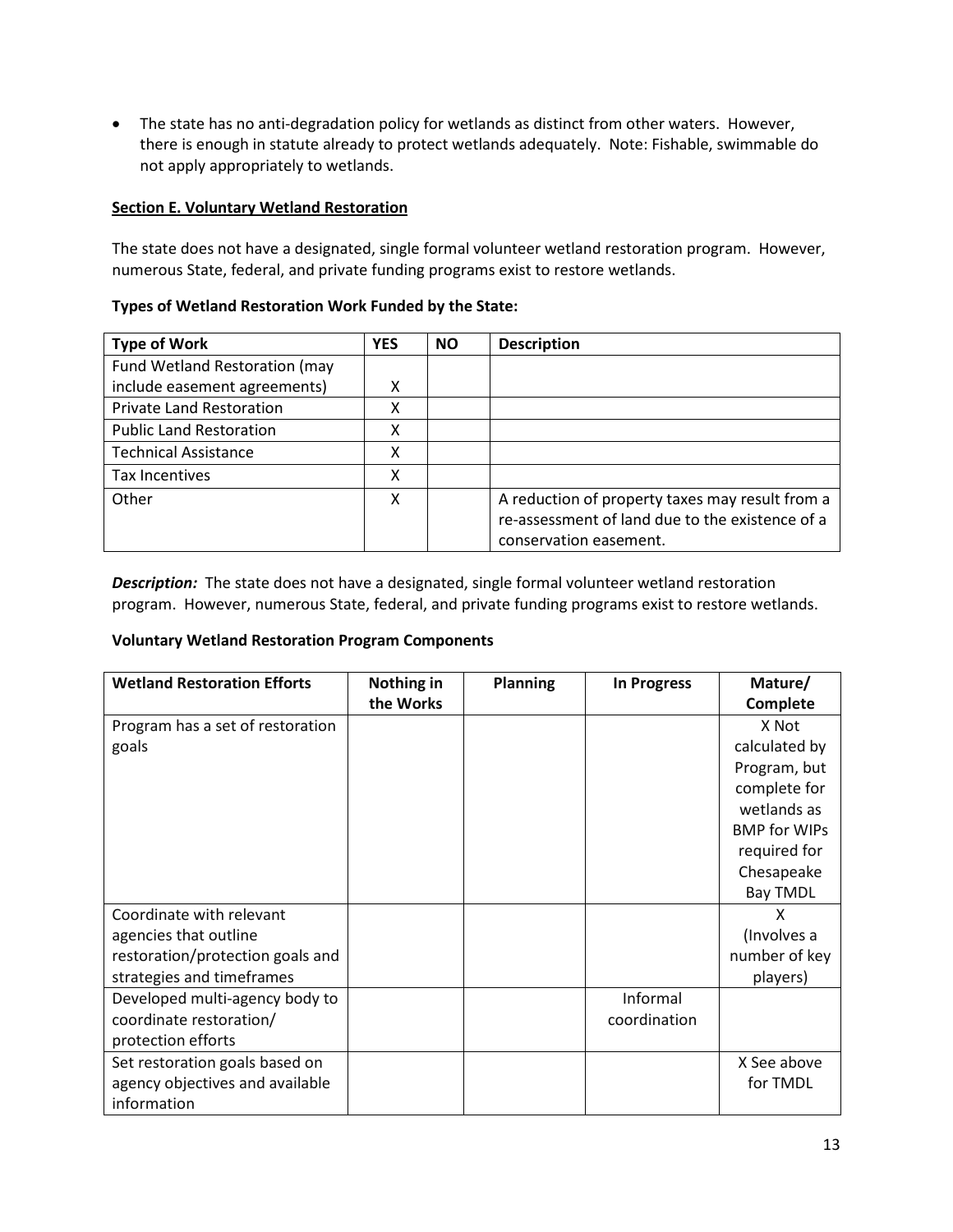• The state has no anti-degradation policy for wetlands as distinct from other waters. However, there is enough in statute already to protect wetlands adequately. Note: Fishable, swimmable do not apply appropriately to wetlands.

### <span id="page-12-0"></span>**Section E. Voluntary Wetland Restoration**

The state does not have a designated, single formal volunteer wetland restoration program. However, numerous State, federal, and private funding programs exist to restore wetlands.

# **Types of Wetland Restoration Work Funded by the State:**

| <b>Type of Work</b>             | <b>YES</b> | <b>NO</b> | <b>Description</b>                                                        |
|---------------------------------|------------|-----------|---------------------------------------------------------------------------|
| Fund Wetland Restoration (may   |            |           |                                                                           |
| include easement agreements)    | χ          |           |                                                                           |
| <b>Private Land Restoration</b> | χ          |           |                                                                           |
| <b>Public Land Restoration</b>  | χ          |           |                                                                           |
| <b>Technical Assistance</b>     | χ          |           |                                                                           |
| Tax Incentives                  | χ          |           |                                                                           |
| Other                           | x          |           | A reduction of property taxes may result from a                           |
|                                 |            |           | re-assessment of land due to the existence of a<br>conservation easement. |
|                                 |            |           |                                                                           |

*Description:*The state does not have a designated, single formal volunteer wetland restoration program. However, numerous State, federal, and private funding programs exist to restore wetlands.

### **Voluntary Wetland Restoration Program Components**

| <b>Wetland Restoration Efforts</b> | Nothing in | <b>Planning</b> | <b>In Progress</b> | Mature/             |
|------------------------------------|------------|-----------------|--------------------|---------------------|
|                                    | the Works  |                 |                    | Complete            |
| Program has a set of restoration   |            |                 |                    | X Not               |
| goals                              |            |                 |                    | calculated by       |
|                                    |            |                 |                    | Program, but        |
|                                    |            |                 |                    | complete for        |
|                                    |            |                 |                    | wetlands as         |
|                                    |            |                 |                    | <b>BMP for WIPs</b> |
|                                    |            |                 |                    | required for        |
|                                    |            |                 |                    | Chesapeake          |
|                                    |            |                 |                    | <b>Bay TMDL</b>     |
| Coordinate with relevant           |            |                 |                    | X                   |
| agencies that outline              |            |                 |                    | (Involves a         |
| restoration/protection goals and   |            |                 |                    | number of key       |
| strategies and timeframes          |            |                 |                    | players)            |
| Developed multi-agency body to     |            |                 | Informal           |                     |
| coordinate restoration/            |            |                 | coordination       |                     |
| protection efforts                 |            |                 |                    |                     |
| Set restoration goals based on     |            |                 |                    | X See above         |
| agency objectives and available    |            |                 |                    | for TMDL            |
| information                        |            |                 |                    |                     |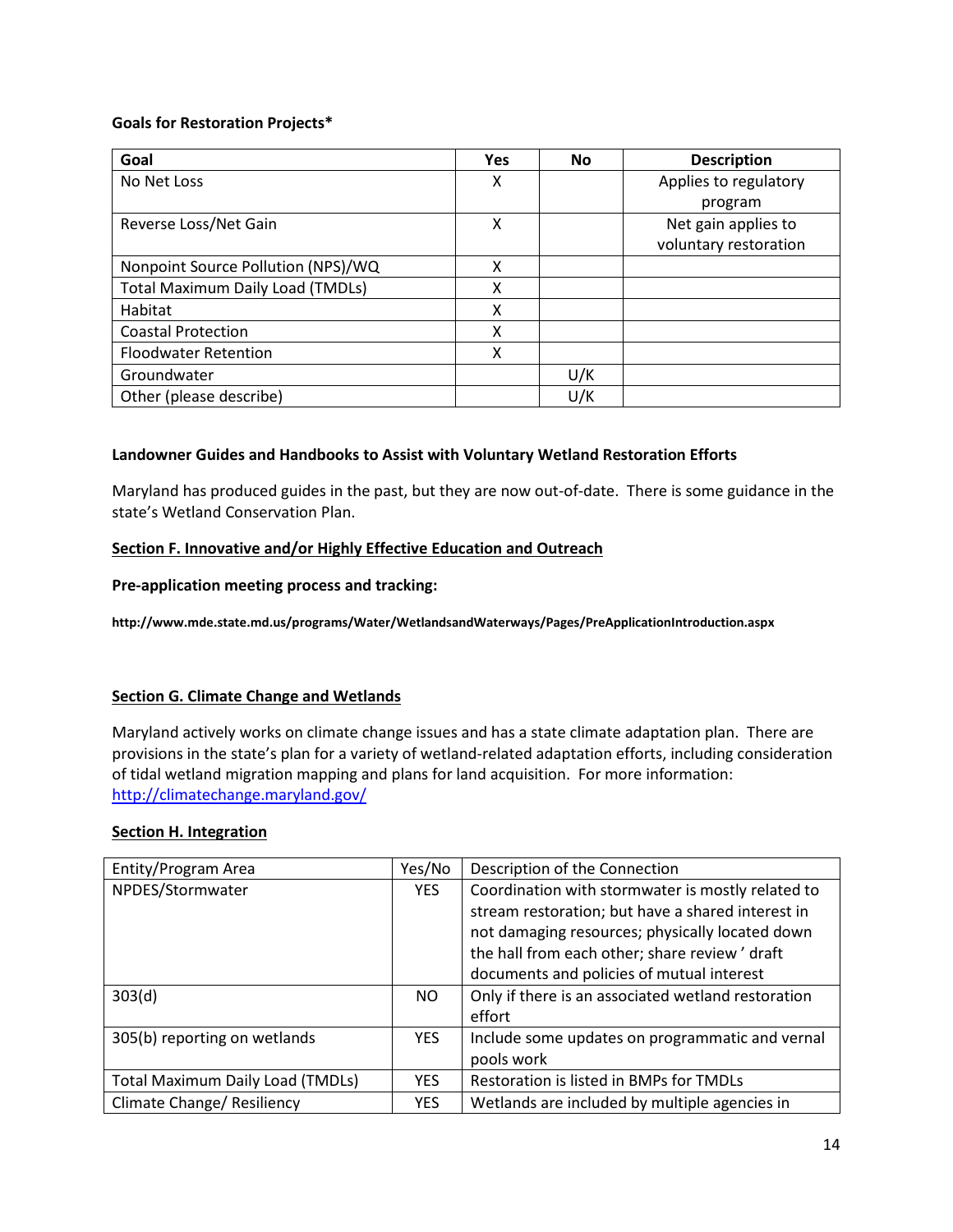### **Goals for Restoration Projects\***

| Goal                                    | <b>Yes</b> | No  | <b>Description</b>    |
|-----------------------------------------|------------|-----|-----------------------|
| No Net Loss                             | X          |     | Applies to regulatory |
|                                         |            |     | program               |
| Reverse Loss/Net Gain                   | X          |     | Net gain applies to   |
|                                         |            |     | voluntary restoration |
| Nonpoint Source Pollution (NPS)/WQ      | X          |     |                       |
| <b>Total Maximum Daily Load (TMDLs)</b> | χ          |     |                       |
| Habitat                                 | x          |     |                       |
| <b>Coastal Protection</b>               | x          |     |                       |
| <b>Floodwater Retention</b>             | X          |     |                       |
| Groundwater                             |            | U/K |                       |
| Other (please describe)                 |            | U/K |                       |

### **Landowner Guides and Handbooks to Assist with Voluntary Wetland Restoration Efforts**

Maryland has produced guides in the past, but they are now out-of-date. There is some guidance in the state's Wetland Conservation Plan.

### <span id="page-13-0"></span>**Section F. Innovative and/or Highly Effective Education and Outreach**

### **Pre-application meeting process and tracking:**

**http://www.mde.state.md.us/programs/Water/WetlandsandWaterways/Pages/PreApplicationIntroduction.aspx**

# **Section G. Climate Change and Wetlands**

Maryland actively works on climate change issues and has a state climate adaptation plan. There are provisions in the state's plan for a variety of wetland-related adaptation efforts, including consideration of tidal wetland migration mapping and plans for land acquisition. For more information: <http://climatechange.maryland.gov/>

### <span id="page-13-1"></span>**Section H. Integration**

| Entity/Program Area                     | Yes/No     | Description of the Connection                      |
|-----------------------------------------|------------|----------------------------------------------------|
| NPDES/Stormwater                        |            | Coordination with stormwater is mostly related to  |
|                                         |            | stream restoration; but have a shared interest in  |
|                                         |            | not damaging resources; physically located down    |
|                                         |            | the hall from each other; share review' draft      |
|                                         |            | documents and policies of mutual interest          |
| 303(d)                                  | <b>NO</b>  | Only if there is an associated wetland restoration |
|                                         |            | effort                                             |
| 305(b) reporting on wetlands            | <b>YES</b> | Include some updates on programmatic and vernal    |
|                                         |            | pools work                                         |
| <b>Total Maximum Daily Load (TMDLs)</b> | <b>YES</b> | Restoration is listed in BMPs for TMDLs            |
| <b>Climate Change/ Resiliency</b>       | <b>YES</b> | Wetlands are included by multiple agencies in      |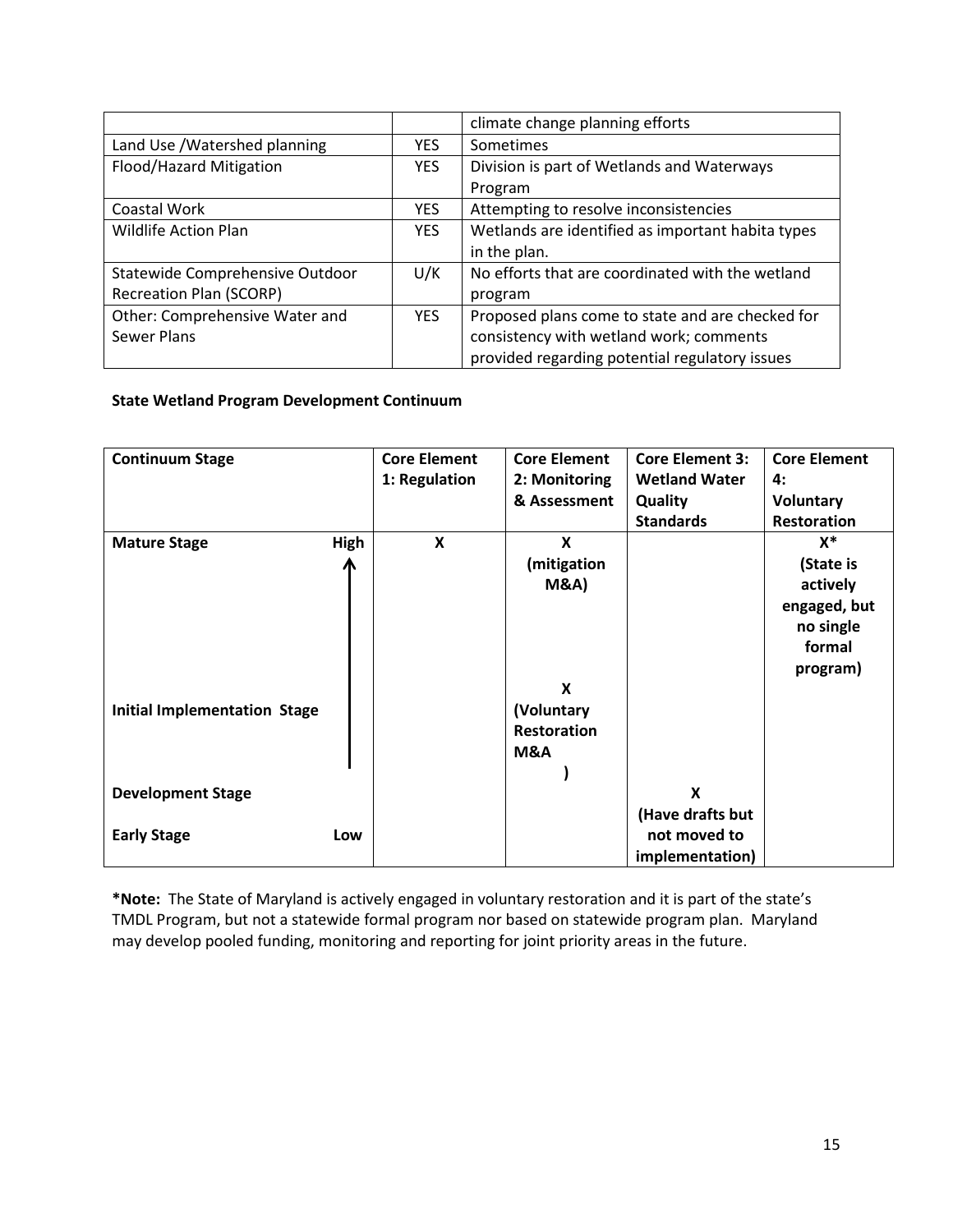|                                 |            | climate change planning efforts                   |
|---------------------------------|------------|---------------------------------------------------|
| Land Use / Watershed planning   | <b>YES</b> | Sometimes                                         |
| Flood/Hazard Mitigation         | <b>YES</b> | Division is part of Wetlands and Waterways        |
|                                 |            | Program                                           |
| Coastal Work                    | <b>YES</b> | Attempting to resolve inconsistencies             |
| <b>Wildlife Action Plan</b>     | <b>YES</b> | Wetlands are identified as important habita types |
|                                 |            | in the plan.                                      |
| Statewide Comprehensive Outdoor | U/K        | No efforts that are coordinated with the wetland  |
| <b>Recreation Plan (SCORP)</b>  |            | program                                           |
| Other: Comprehensive Water and  | <b>YES</b> | Proposed plans come to state and are checked for  |
| Sewer Plans                     |            | consistency with wetland work; comments           |
|                                 |            | provided regarding potential regulatory issues    |

# **State Wetland Program Development Continuum**

| <b>Continuum Stage</b>              |      | <b>Core Element</b><br>1: Regulation | <b>Core Element</b><br>2: Monitoring | <b>Core Element 3:</b><br><b>Wetland Water</b> | <b>Core Element</b><br>4: |
|-------------------------------------|------|--------------------------------------|--------------------------------------|------------------------------------------------|---------------------------|
|                                     |      |                                      | & Assessment                         | Quality                                        | <b>Voluntary</b>          |
|                                     |      |                                      |                                      | <b>Standards</b>                               | Restoration               |
| <b>Mature Stage</b>                 | High | $\boldsymbol{x}$                     | X                                    |                                                | $x^*$                     |
|                                     |      |                                      | (mitigation                          |                                                | (State is                 |
|                                     |      |                                      | <b>M&amp;A)</b>                      |                                                | actively                  |
|                                     |      |                                      |                                      |                                                | engaged, but              |
|                                     |      |                                      |                                      |                                                | no single                 |
|                                     |      |                                      |                                      |                                                | formal                    |
|                                     |      |                                      |                                      |                                                | program)                  |
|                                     |      |                                      | X                                    |                                                |                           |
| <b>Initial Implementation Stage</b> |      |                                      | (Voluntary                           |                                                |                           |
|                                     |      |                                      | Restoration                          |                                                |                           |
|                                     |      |                                      | <b>M&amp;A</b>                       |                                                |                           |
|                                     |      |                                      |                                      |                                                |                           |
| <b>Development Stage</b>            |      |                                      |                                      | X                                              |                           |
|                                     |      |                                      |                                      | (Have drafts but                               |                           |
| <b>Early Stage</b>                  | Low  |                                      |                                      | not moved to                                   |                           |
|                                     |      |                                      |                                      | implementation)                                |                           |

**\*Note:** The State of Maryland is actively engaged in voluntary restoration and it is part of the state's TMDL Program, but not a statewide formal program nor based on statewide program plan. Maryland may develop pooled funding, monitoring and reporting for joint priority areas in the future.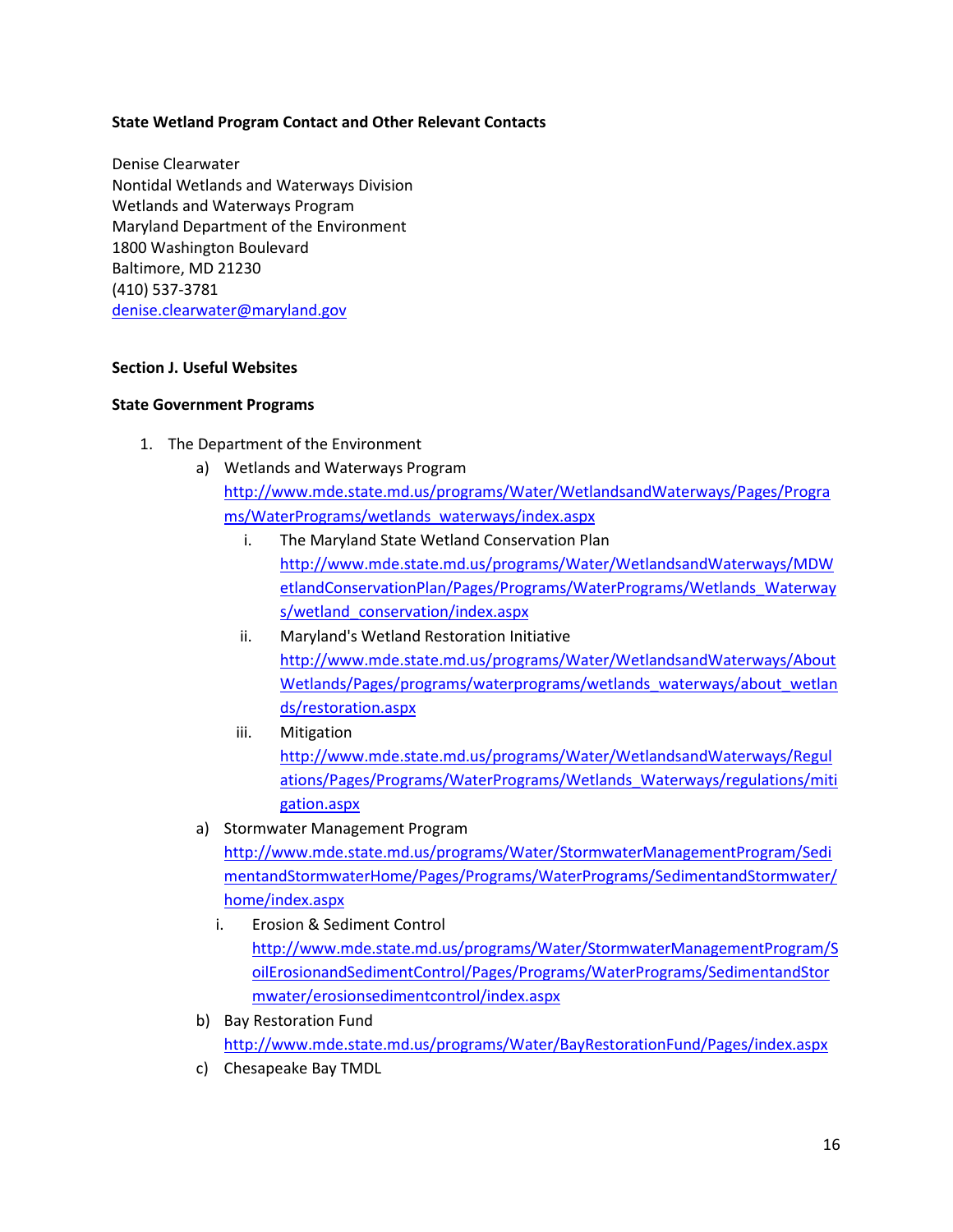### **State Wetland Program Contact and Other Relevant Contacts**

Denise Clearwater Nontidal Wetlands and Waterways Division Wetlands and Waterways Program Maryland Department of the Environment 1800 Washington Boulevard Baltimore, MD 21230 (410) 537-3781 [denise.clearwater@maryland.gov](mailto:denise.clearwater@maryland.gov)

### **Section J. Useful Websites**

#### **State Government Programs**

- 1. The Department of the Environment
	- a) Wetlands and Waterways Program [http://www.mde.state.md.us/programs/Water/WetlandsandWaterways/Pages/Progra](http://www.mde.state.md.us/programs/Water/WetlandsandWaterways/Pages/Programs/WaterPrograms/wetlands_waterways/index.aspx) [ms/WaterPrograms/wetlands\\_waterways/index.aspx](http://www.mde.state.md.us/programs/Water/WetlandsandWaterways/Pages/Programs/WaterPrograms/wetlands_waterways/index.aspx)
		- i. The Maryland State Wetland Conservation Plan [http://www.mde.state.md.us/programs/Water/WetlandsandWaterways/MDW](http://www.mde.state.md.us/programs/Water/WetlandsandWaterways/MDWetlandConservationPlan/Pages/Programs/WaterPrograms/Wetlands_Waterways/wetland_conservation/index.aspx) [etlandConservationPlan/Pages/Programs/WaterPrograms/Wetlands\\_Waterway](http://www.mde.state.md.us/programs/Water/WetlandsandWaterways/MDWetlandConservationPlan/Pages/Programs/WaterPrograms/Wetlands_Waterways/wetland_conservation/index.aspx) [s/wetland\\_conservation/index.aspx](http://www.mde.state.md.us/programs/Water/WetlandsandWaterways/MDWetlandConservationPlan/Pages/Programs/WaterPrograms/Wetlands_Waterways/wetland_conservation/index.aspx)
		- ii. Maryland's Wetland Restoration Initiative [http://www.mde.state.md.us/programs/Water/WetlandsandWaterways/About](http://www.mde.state.md.us/programs/Water/WetlandsandWaterways/AboutWetlands/Pages/programs/waterprograms/wetlands_waterways/about_wetlands/restoration.aspx) [Wetlands/Pages/programs/waterprograms/wetlands\\_waterways/about\\_wetlan](http://www.mde.state.md.us/programs/Water/WetlandsandWaterways/AboutWetlands/Pages/programs/waterprograms/wetlands_waterways/about_wetlands/restoration.aspx) [ds/restoration.aspx](http://www.mde.state.md.us/programs/Water/WetlandsandWaterways/AboutWetlands/Pages/programs/waterprograms/wetlands_waterways/about_wetlands/restoration.aspx)
		- iii. Mitigation [http://www.mde.state.md.us/programs/Water/WetlandsandWaterways/Regul](http://www.mde.state.md.us/programs/Water/WetlandsandWaterways/Regulations/Pages/Programs/WaterPrograms/Wetlands_Waterways/regulations/mitigation.aspx) [ations/Pages/Programs/WaterPrograms/Wetlands\\_Waterways/regulations/miti](http://www.mde.state.md.us/programs/Water/WetlandsandWaterways/Regulations/Pages/Programs/WaterPrograms/Wetlands_Waterways/regulations/mitigation.aspx) [gation.aspx](http://www.mde.state.md.us/programs/Water/WetlandsandWaterways/Regulations/Pages/Programs/WaterPrograms/Wetlands_Waterways/regulations/mitigation.aspx)
	- a) Stormwater Management Program [http://www.mde.state.md.us/programs/Water/StormwaterManagementProgram/Sedi](http://www.mde.state.md.us/programs/Water/StormwaterManagementProgram/SedimentandStormwaterHome/Pages/Programs/WaterPrograms/SedimentandStormwater/home/index.aspx) [mentandStormwaterHome/Pages/Programs/WaterPrograms/SedimentandStormwater/](http://www.mde.state.md.us/programs/Water/StormwaterManagementProgram/SedimentandStormwaterHome/Pages/Programs/WaterPrograms/SedimentandStormwater/home/index.aspx) [home/index.aspx](http://www.mde.state.md.us/programs/Water/StormwaterManagementProgram/SedimentandStormwaterHome/Pages/Programs/WaterPrograms/SedimentandStormwater/home/index.aspx)
		- i. Erosion & Sediment Control [http://www.mde.state.md.us/programs/Water/StormwaterManagementProgram/S](http://www.mde.state.md.us/programs/Water/StormwaterManagementProgram/SoilErosionandSedimentControl/Pages/Programs/WaterPrograms/SedimentandStormwater/erosionsedimentcontrol/index.aspx) [oilErosionandSedimentControl/Pages/Programs/WaterPrograms/SedimentandStor](http://www.mde.state.md.us/programs/Water/StormwaterManagementProgram/SoilErosionandSedimentControl/Pages/Programs/WaterPrograms/SedimentandStormwater/erosionsedimentcontrol/index.aspx) [mwater/erosionsedimentcontrol/index.aspx](http://www.mde.state.md.us/programs/Water/StormwaterManagementProgram/SoilErosionandSedimentControl/Pages/Programs/WaterPrograms/SedimentandStormwater/erosionsedimentcontrol/index.aspx)
	- b) Bay Restoration Fund <http://www.mde.state.md.us/programs/Water/BayRestorationFund/Pages/index.aspx>
	- c) Chesapeake Bay TMDL